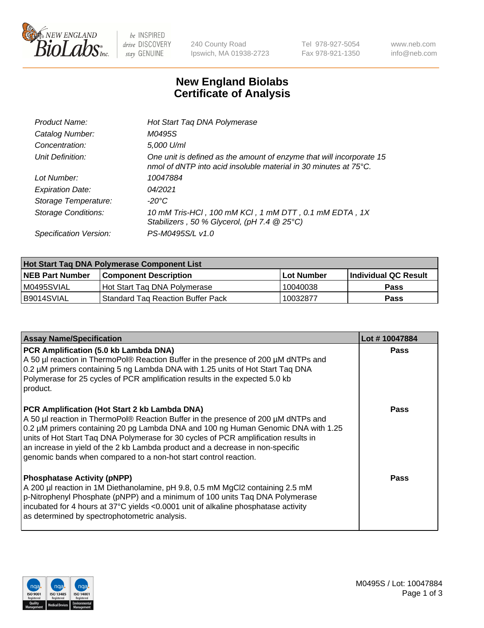

 $be$  INSPIRED drive DISCOVERY stay GENUINE

240 County Road Ipswich, MA 01938-2723 Tel 978-927-5054 Fax 978-921-1350 www.neb.com info@neb.com

## **New England Biolabs Certificate of Analysis**

| Product Name:              | Hot Start Taq DNA Polymerase                                                                                                                       |
|----------------------------|----------------------------------------------------------------------------------------------------------------------------------------------------|
| Catalog Number:            | M0495S                                                                                                                                             |
| Concentration:             | 5,000 U/ml                                                                                                                                         |
| Unit Definition:           | One unit is defined as the amount of enzyme that will incorporate 15<br>nmol of dNTP into acid insoluble material in 30 minutes at $75^{\circ}$ C. |
| Lot Number:                | 10047884                                                                                                                                           |
| <b>Expiration Date:</b>    | 04/2021                                                                                                                                            |
| Storage Temperature:       | -20°C                                                                                                                                              |
| <b>Storage Conditions:</b> | 10 mM Tris-HCl, 100 mM KCl, 1 mM DTT, 0.1 mM EDTA, 1X<br>Stabilizers, 50 % Glycerol, (pH 7.4 $@25°C$ )                                             |
| Specification Version:     | PS-M0495S/L v1.0                                                                                                                                   |

| Hot Start Tag DNA Polymerase Component List |                                     |              |                      |  |  |
|---------------------------------------------|-------------------------------------|--------------|----------------------|--|--|
| <b>NEB Part Number</b>                      | Component Description_              | l Lot Number | Individual QC Result |  |  |
| M0495SVIAL                                  | Hot Start Tag DNA Polymerase        | 10040038     | <b>Pass</b>          |  |  |
| B9014SVIAL                                  | 'Standard Tag Reaction Buffer Pack_ | 10032877     | <b>Pass</b>          |  |  |

| <b>Assay Name/Specification</b>                                                                                                                                                                                                                                                                                                                                                                                                                                       | Lot #10047884 |
|-----------------------------------------------------------------------------------------------------------------------------------------------------------------------------------------------------------------------------------------------------------------------------------------------------------------------------------------------------------------------------------------------------------------------------------------------------------------------|---------------|
| PCR Amplification (5.0 kb Lambda DNA)<br>A 50 µl reaction in ThermoPol® Reaction Buffer in the presence of 200 µM dNTPs and<br>0.2 µM primers containing 5 ng Lambda DNA with 1.25 units of Hot Start Taq DNA<br>Polymerase for 25 cycles of PCR amplification results in the expected 5.0 kb<br>product.                                                                                                                                                             | <b>Pass</b>   |
| PCR Amplification (Hot Start 2 kb Lambda DNA)<br>A 50 µl reaction in ThermoPol® Reaction Buffer in the presence of 200 µM dNTPs and<br>0.2 µM primers containing 20 pg Lambda DNA and 100 ng Human Genomic DNA with 1.25<br>units of Hot Start Taq DNA Polymerase for 30 cycles of PCR amplification results in<br>an increase in yield of the 2 kb Lambda product and a decrease in non-specific<br>genomic bands when compared to a non-hot start control reaction. | <b>Pass</b>   |
| <b>Phosphatase Activity (pNPP)</b><br>A 200 µl reaction in 1M Diethanolamine, pH 9.8, 0.5 mM MgCl2 containing 2.5 mM<br>p-Nitrophenyl Phosphate (pNPP) and a minimum of 100 units Taq DNA Polymerase<br>incubated for 4 hours at 37°C yields <0.0001 unit of alkaline phosphatase activity<br>as determined by spectrophotometric analysis.                                                                                                                           | <b>Pass</b>   |

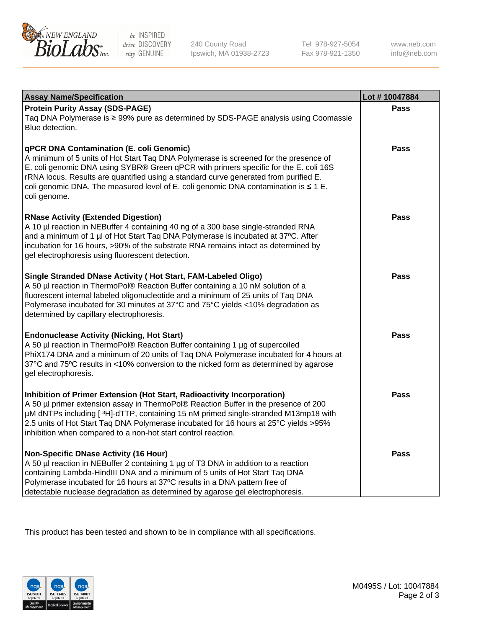

 $be$  INSPIRED drive DISCOVERY stay GENUINE

240 County Road Ipswich, MA 01938-2723 Tel 978-927-5054 Fax 978-921-1350 www.neb.com info@neb.com

| <b>Assay Name/Specification</b>                                                                                                                                                                                                                                                                                                                                                                                              | Lot #10047884 |
|------------------------------------------------------------------------------------------------------------------------------------------------------------------------------------------------------------------------------------------------------------------------------------------------------------------------------------------------------------------------------------------------------------------------------|---------------|
| <b>Protein Purity Assay (SDS-PAGE)</b><br>Taq DNA Polymerase is ≥ 99% pure as determined by SDS-PAGE analysis using Coomassie<br>Blue detection.                                                                                                                                                                                                                                                                             | <b>Pass</b>   |
| qPCR DNA Contamination (E. coli Genomic)<br>A minimum of 5 units of Hot Start Taq DNA Polymerase is screened for the presence of<br>E. coli genomic DNA using SYBR® Green qPCR with primers specific for the E. coli 16S<br>rRNA locus. Results are quantified using a standard curve generated from purified E.<br>coli genomic DNA. The measured level of E. coli genomic DNA contamination is $\leq 1$ E.<br>coli genome. | Pass          |
| <b>RNase Activity (Extended Digestion)</b><br>A 10 µl reaction in NEBuffer 4 containing 40 ng of a 300 base single-stranded RNA<br>and a minimum of 1 µl of Hot Start Taq DNA Polymerase is incubated at 37°C. After<br>incubation for 16 hours, >90% of the substrate RNA remains intact as determined by<br>gel electrophoresis using fluorescent detection.                                                               | <b>Pass</b>   |
| Single Stranded DNase Activity (Hot Start, FAM-Labeled Oligo)<br>A 50 µl reaction in ThermoPol® Reaction Buffer containing a 10 nM solution of a<br>fluorescent internal labeled oligonucleotide and a minimum of 25 units of Taq DNA<br>Polymerase incubated for 30 minutes at 37°C and 75°C yields <10% degradation as<br>determined by capillary electrophoresis.                                                         | Pass          |
| <b>Endonuclease Activity (Nicking, Hot Start)</b><br>A 50 µl reaction in ThermoPol® Reaction Buffer containing 1 µg of supercoiled<br>PhiX174 DNA and a minimum of 20 units of Taq DNA Polymerase incubated for 4 hours at<br>37°C and 75°C results in <10% conversion to the nicked form as determined by agarose<br>gel electrophoresis.                                                                                   | <b>Pass</b>   |
| Inhibition of Primer Extension (Hot Start, Radioactivity Incorporation)<br>A 50 µl primer extension assay in ThermoPol® Reaction Buffer in the presence of 200<br>µM dNTPs including [3H]-dTTP, containing 15 nM primed single-stranded M13mp18 with<br>2.5 units of Hot Start Taq DNA Polymerase incubated for 16 hours at 25°C yields > 95%<br>inhibition when compared to a non-hot start control reaction.               | <b>Pass</b>   |
| <b>Non-Specific DNase Activity (16 Hour)</b><br>A 50 µl reaction in NEBuffer 2 containing 1 µg of T3 DNA in addition to a reaction<br>containing Lambda-HindIII DNA and a minimum of 5 units of Hot Start Taq DNA<br>Polymerase incubated for 16 hours at 37°C results in a DNA pattern free of<br>detectable nuclease degradation as determined by agarose gel electrophoresis.                                             | Pass          |

This product has been tested and shown to be in compliance with all specifications.